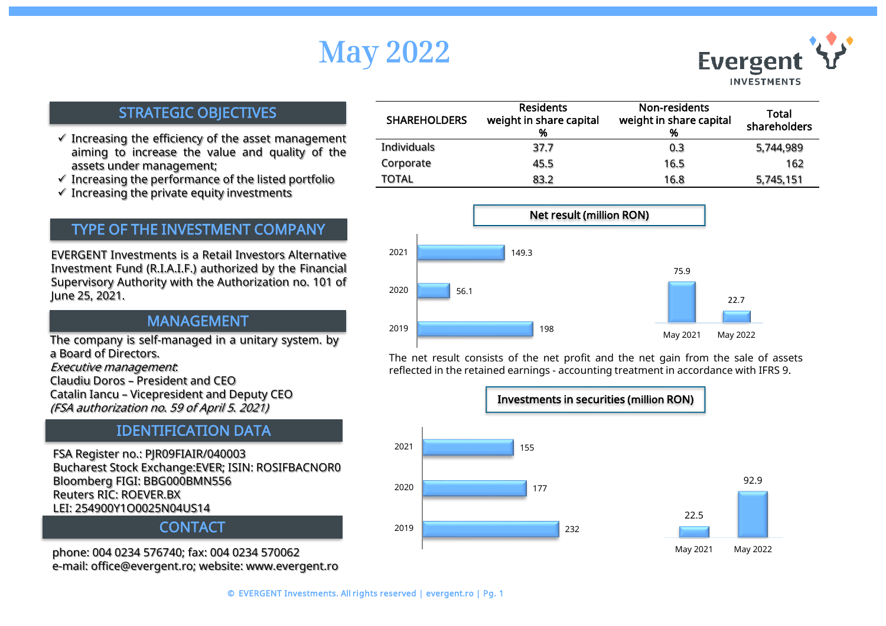# May 2022



### STRATEGIC OBJECTIVES

- $\checkmark$  Increasing the efficiency of the asset management aiming to increase the value and quality of the assets under management;
- $\checkmark$  Increasing the performance of the listed portfolio
- $\checkmark$  Increasing the private equity investments

## TYPE OF THE INVESTMENT COMPANY

EVERGENT Investments is a Retail Investors Alternative Investment Fund (R.I.A.I.F.) authorized by the Financial Supervisory Authority with the Authorization no. 101 of June 25, 2021.

### MANAGEMENT

The company is self-managed in a unitary system. by a Board of Directors.

Executive management:

Claudiu Doros – President and CEO Catalin Iancu – Vicepresident and Deputy CEO (FSA authorization no. 59 of April 5. 2021)

## IDENTIFICATION DATA

FSA Register no.: PJR09FIAIR/040003 Bucharest Stock Exchange:EVER; ISIN: ROSIFBACNOR0 Bloomberg FIGI: BBG000BMN556 Reuters RIC: ROEVER.BX LEI: 254900Y1O0025N04US14

### **CONTACT**

phone: 004 0234 576740; fax: 004 0234 570062 e-mail: office@evergent.ro; website: www.evergent.ro

| <b>SHAREHOLDERS</b> | <b>Residents</b><br>weight in share capital<br>% | Non-residents<br>weight in share capital<br>% | Total<br>shareholders |
|---------------------|--------------------------------------------------|-----------------------------------------------|-----------------------|
| Individuals         | 37.7                                             | 0.3                                           | 5,744,989             |
| Corporate           | 45.5                                             | 16.5                                          | 162                   |
| TOTAL               | 83.2                                             | 16.8                                          | 5,745,151             |



The net result consists of the net profit and the net gain from the sale of assets reflected in the retained earnings - accounting treatment in accordance with IFRS 9.

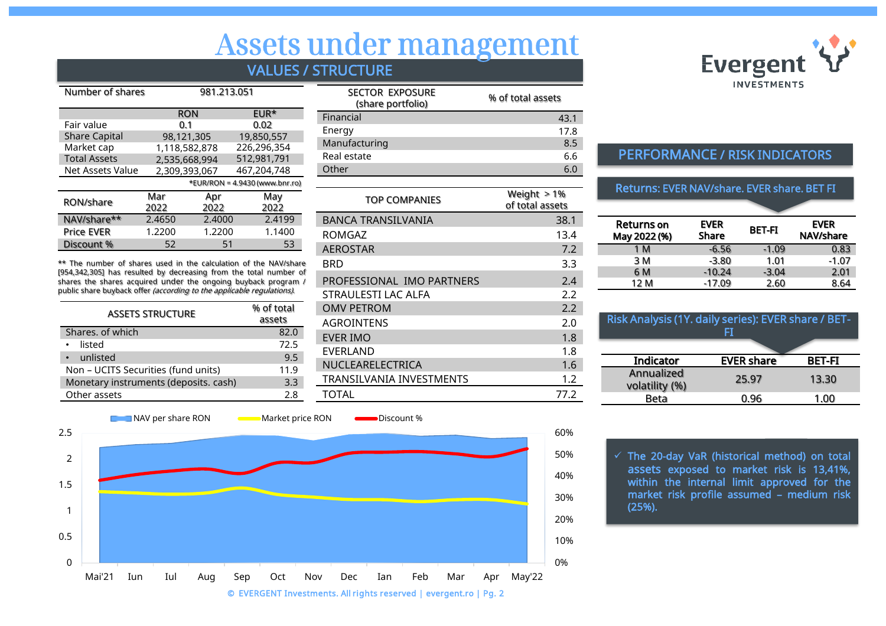# Assets under management

## VALUES / STRUCTURE

| Number of shares     |        | 981.213.051   |                                  |
|----------------------|--------|---------------|----------------------------------|
|                      |        | <b>RON</b>    | EUR*                             |
| Fair value           |        | 0.1           | 0.02                             |
| <b>Share Capital</b> |        | 98,121,305    | 19,850,557                       |
| Market cap           |        | 1,118,582,878 | 226,296,354                      |
| <b>Total Assets</b>  |        | 2,535,668,994 | 512,981,791                      |
| Net Assets Value     |        | 2,309,393,067 | 467,204,748                      |
|                      |        |               | *EUR/RON = $4.9430$ (www.bnr.ro) |
| RON/share            | Mar    | Apr           | May                              |
|                      | 2022   | 2022          | 2022                             |
| NAV/share**          | 2.4650 | 2.4000        | 2.4199                           |
| <b>Price EVER</b>    | 1.2200 | 1.2200        | 1.1400                           |
| Discount %           | 52     | 51            | 53                               |

\*\* The number of shares used in the calculation of the NAV/share [954,342,305] has resulted by decreasing from the total number of shares the shares acquired under the ongoing buyback program / public share buyback offer *(according to the applicable requiations)*.

| <b>ASSETS STRUCTURE</b>               | % of total<br>assets |
|---------------------------------------|----------------------|
| Shares, of which                      | 82.0                 |
|                                       |                      |
| listed                                | 72.5                 |
| • unlisted                            | 9.5                  |
| Non - UCITS Securities (fund units)   | 11.9                 |
| Monetary instruments (deposits. cash) | 3.3                  |
| Other assets                          | 2 R                  |

| <b>SECTOR EXPOSURE</b><br>(share portfolio) | % of total assets |
|---------------------------------------------|-------------------|
| Financial                                   | 43.1              |
| Energy                                      | 17.8              |
| Manufacturing                               | 8.5               |
| Real estate                                 | 6.6               |
| Other                                       | 60                |

| <b>TOP COMPANIES</b>      | Weight $> 1\%$<br>of total assets |
|---------------------------|-----------------------------------|
| BANCA TRANSILVANIA        | 38.1                              |
| ROMGAZ                    | 13.4                              |
| <b>AEROSTAR</b>           | 7.2                               |
| BRD                       | 3.3                               |
| PROFESSIONAL IMO PARTNERS | 2.4                               |
| STRAULESTI LAC ALFA       | 2.2                               |
| <b>OMV PETROM</b>         | 2.2                               |
| <b>AGROINTENS</b>         | 2.0                               |
| <b>EVER IMO</b>           | 1.8                               |
| EVERLAND                  | 1.8                               |
| NUCLEARELECTRICA          | 1.6                               |
| TRANSILVANIA INVESTMENTS  | 1.2                               |
| TOTAL                     | 77.2                              |



## PERFORMANCE / RISK INDICATORS

#### Returns: EVER NAV/share. EVER share. BET FI

| <b>Returns</b> on<br>May 2022 (%) | <b>EVER</b><br>Share | BET-FI  | <b>EVER</b><br>NAV/share |
|-----------------------------------|----------------------|---------|--------------------------|
| 1 M                               | $-6.56$              | $-1.09$ | 0.83                     |
| 3 M                               | $-3.80$              | 1.01    | $-1.07$                  |
| 6 M                               | $-10.24$             | $-3.04$ | 2.01                     |
| 12 M                              | $-17.09$             | 2.60    | 8.64                     |
|                                   |                      |         |                          |

| Risk Analysis (1Y. daily series): EVER share / BET-<br>Fī |                   |               |
|-----------------------------------------------------------|-------------------|---------------|
| Indicator                                                 | <b>EVER share</b> | <b>BET-FI</b> |
| Annualized<br>volatility (%)                              | 25.97             | 13.30         |
| Beta                                                      | በ.96              | 1.00          |

 $\checkmark$  The 20-day VaR (historical method) on total assets exposed to market risk is 13,41%, within the internal limit approved for the market risk profile assumed – medium risk (25%).